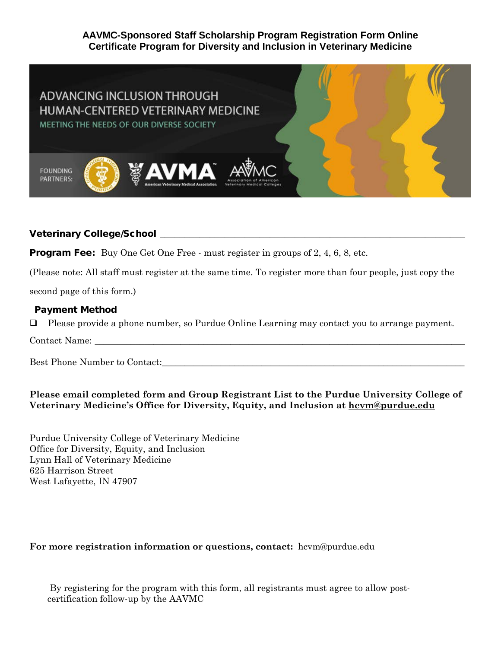# **AAVMC-Sponsored Staff Scholarship Program Registration Form Online Certificate Program for Diversity and Inclusion in Veterinary Medicine**



# Veterinary College/School **\_\_\_\_\_\_\_\_\_\_\_\_\_\_\_\_\_\_\_\_\_\_\_\_\_\_\_\_\_\_\_\_\_\_\_\_\_\_\_\_\_\_\_\_\_\_\_\_\_\_\_\_\_\_\_\_\_\_\_\_\_**

**Program Fee:** Buy One Get One Free - must register in groups of 2, 4, 6, 8, etc.

(Please note: All staff must register at the same time. To register more than four people, just copy the

second page of this form.)

#### Payment Method

Please provide a phone number, so Purdue Online Learning may contact you to arrange payment.

Contact Name:

Best Phone Number to Contact:

# **Please email completed form and Group Registrant List to the Purdue University College of Veterinary Medicine's Office for Diversity, Equity, and Inclusion at hcvm@purdue.edu**

Purdue University College of Veterinary Medicine Office for Diversity, Equity, and Inclusion Lynn Hall of Veterinary Medicine 625 Harrison Street West Lafayette, IN 47907

# **For more registration information or questions, contact:** hcvm@purdue.edu

By registering for the program with this form, all registrants must agree to allow postcertification follow-up by the AAVMC